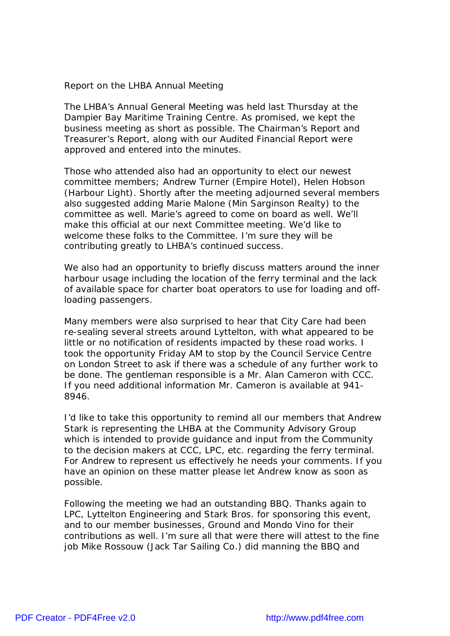Report on the LHBA Annual Meeting

The LHBA's Annual General Meeting was held last Thursday at the Dampier Bay Maritime Training Centre. As promised, we kept the business meeting as short as possible. The Chairman's Report and Treasurer's Report, along with our Audited Financial Report were approved and entered into the minutes.

Those who attended also had an opportunity to elect our newest committee members; Andrew Turner (Empire Hotel), Helen Hobson (Harbour Light). Shortly after the meeting adjourned several members also suggested adding Marie Malone (Min Sarginson Realty) to the committee as well. Marie's agreed to come on board as well. We'll make this official at our next Committee meeting. We'd like to welcome these folks to the Committee. I'm sure they will be contributing greatly to LHBA's continued success.

We also had an opportunity to briefly discuss matters around the inner harbour usage including the location of the ferry terminal and the lack of available space for charter boat operators to use for loading and offloading passengers.

Many members were also surprised to hear that City Care had been re-sealing several streets around Lyttelton, with what appeared to be little or no notification of residents impacted by these road works. I took the opportunity Friday AM to stop by the Council Service Centre on London Street to ask if there was a schedule of any further work to be done. The gentleman responsible is a Mr. Alan Cameron with CCC. If you need additional information Mr. Cameron is available at 941- 8946.

I'd like to take this opportunity to remind all our members that Andrew Stark is representing the LHBA at the Community Advisory Group which is intended to provide guidance and input from the Community to the decision makers at CCC, LPC, etc. regarding the ferry terminal. For Andrew to represent us effectively he needs your comments. If you have an opinion on these matter please let Andrew know as soon as possible.

Following the meeting we had an outstanding BBQ. Thanks again to LPC, Lyttelton Engineering and Stark Bros. for sponsoring this event, and to our member businesses, Ground and Mondo Vino for their contributions as well. I'm sure all that were there will attest to the fine job Mike Rossouw (Jack Tar Sailing Co.) did manning the BBQ and